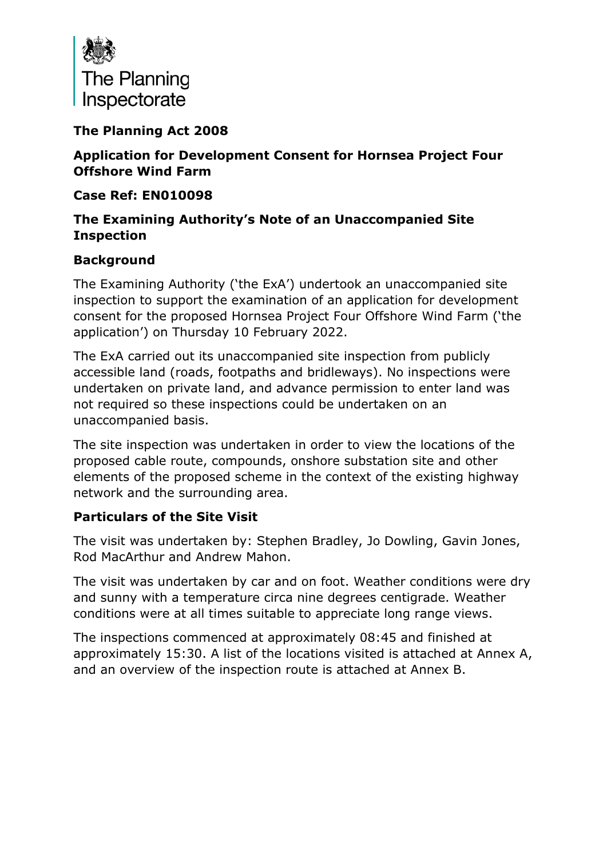

## **The Planning Act 2008**

**Application for Development Consent for Hornsea Project Four Offshore Wind Farm**

**Case Ref: EN010098**

## **The Examining Authority's Note of an Unaccompanied Site Inspection**

## **Background**

The Examining Authority ('the ExA') undertook an unaccompanied site inspection to support the examination of an application for development consent for the proposed Hornsea Project Four Offshore Wind Farm ('the application') on Thursday 10 February 2022.

The ExA carried out its unaccompanied site inspection from publicly accessible land (roads, footpaths and bridleways). No inspections were undertaken on private land, and advance permission to enter land was not required so these inspections could be undertaken on an unaccompanied basis.

The site inspection was undertaken in order to view the locations of the proposed cable route, compounds, onshore substation site and other elements of the proposed scheme in the context of the existing highway network and the surrounding area.

## **Particulars of the Site Visit**

The visit was undertaken by: Stephen Bradley, Jo Dowling, Gavin Jones, Rod MacArthur and Andrew Mahon.

The visit was undertaken by car and on foot. Weather conditions were dry and sunny with a temperature circa nine degrees centigrade. Weather conditions were at all times suitable to appreciate long range views.

The inspections commenced at approximately 08:45 and finished at approximately 15:30. A list of the locations visited is attached at Annex A, and an overview of the inspection route is attached at Annex B.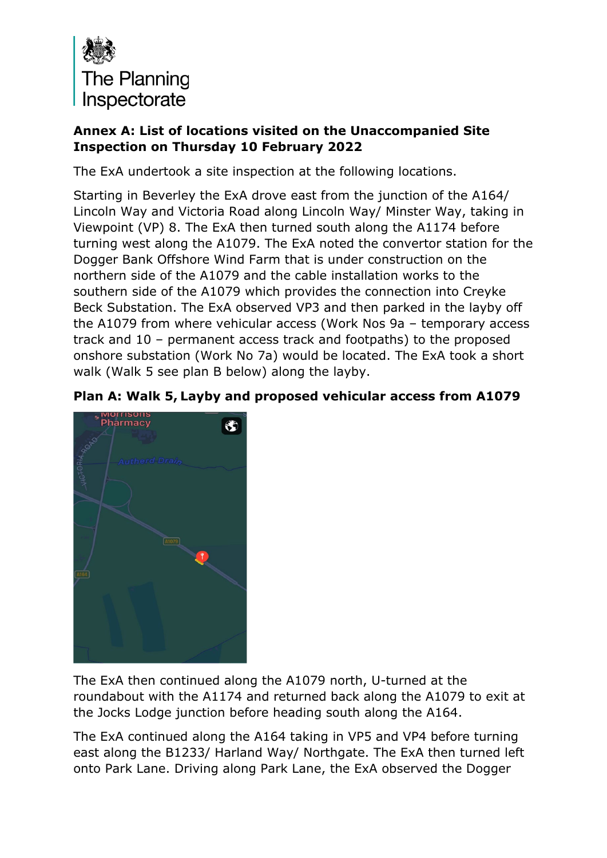

## **Annex A: List of locations visited on the Unaccompanied Site Inspection on Thursday 10 February 2022**

The ExA undertook a site inspection at the following locations.

Starting in Beverley the ExA drove east from the junction of the A164/ Lincoln Way and Victoria Road along Lincoln Way/ Minster Way, taking in Viewpoint (VP) 8. The ExA then turned south along the A1174 before turning west along the A1079. The ExA noted the convertor station for the Dogger Bank Offshore Wind Farm that is under construction on the northern side of the A1079 and the cable installation works to the southern side of the A1079 which provides the connection into Creyke Beck Substation. The ExA observed VP3 and then parked in the layby off the A1079 from where vehicular access (Work Nos 9a – temporary access track and 10 – permanent access track and footpaths) to the proposed onshore substation (Work No 7a) would be located. The ExA took a short walk (Walk 5 see plan B below) along the layby.





The ExA then continued along the A1079 north, U-turned at the roundabout with the A1174 and returned back along the A1079 to exit at the Jocks Lodge junction before heading south along the A164.

The ExA continued along the A164 taking in VP5 and VP4 before turning east along the B1233/ Harland Way/ Northgate. The ExA then turned left onto Park Lane. Driving along Park Lane, the ExA observed the Dogger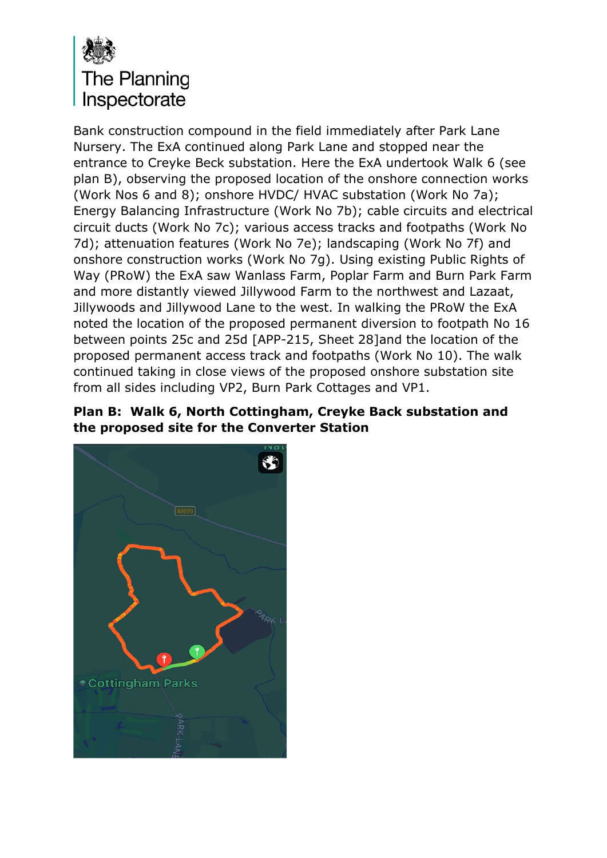

Bank construction compound in the field immediately after Park Lane Nursery. The ExA continued along Park Lane and stopped near the entrance to Creyke Beck substation. Here the ExA undertook Walk 6 (see plan B), observing the proposed location of the onshore connection works (Work Nos 6 and 8); onshore HVDC/ HVAC substation (Work No 7a); Energy Balancing Infrastructure (Work No 7b); cable circuits and electrical circuit ducts (Work No 7c); various access tracks and footpaths (Work No 7d); attenuation features (Work No 7e); landscaping (Work No 7f) and onshore construction works (Work No 7g). Using existing Public Rights of Way (PRoW) the ExA saw Wanlass Farm, Poplar Farm and Burn Park Farm and more distantly viewed Jillywood Farm to the northwest and Lazaat, Jillywoods and Jillywood Lane to the west. In walking the PRoW the ExA noted the location of the proposed permanent diversion to footpath No 16 between points 25c and 25d [APP-215, Sheet 28]and the location of the proposed permanent access track and footpaths (Work No 10). The walk continued taking in close views of the proposed onshore substation site from all sides including VP2, Burn Park Cottages and VP1.

#### **Plan B: Walk 6, North Cottingham, Creyke Back substation and the proposed site for the Converter Station**

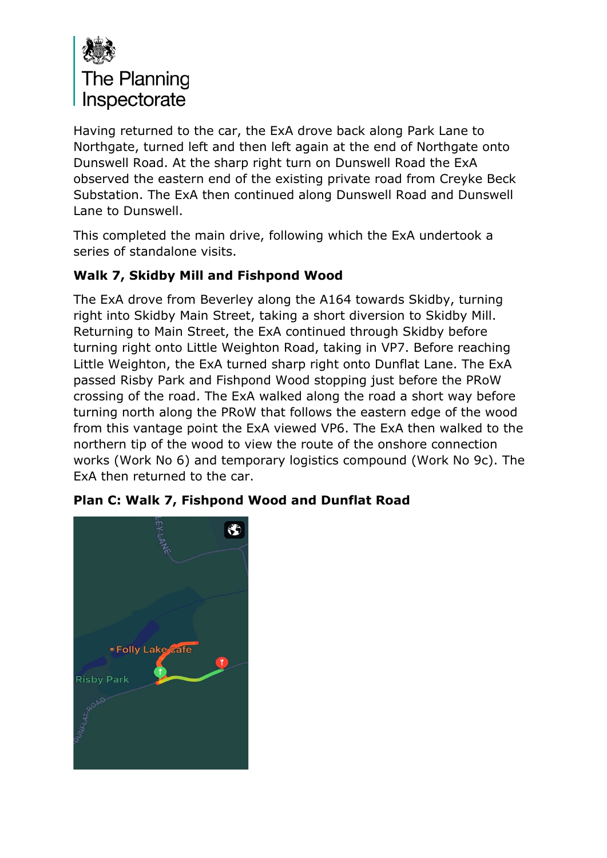

Having returned to the car, the ExA drove back along Park Lane to Northgate, turned left and then left again at the end of Northgate onto Dunswell Road. At the sharp right turn on Dunswell Road the ExA observed the eastern end of the existing private road from Creyke Beck Substation. The ExA then continued along Dunswell Road and Dunswell Lane to Dunswell.

This completed the main drive, following which the ExA undertook a series of standalone visits.

# **Walk 7, Skidby Mill and Fishpond Wood**

The ExA drove from Beverley along the A164 towards Skidby, turning right into Skidby Main Street, taking a short diversion to Skidby Mill. Returning to Main Street, the ExA continued through Skidby before turning right onto Little Weighton Road, taking in VP7. Before reaching Little Weighton, the ExA turned sharp right onto Dunflat Lane. The ExA passed Risby Park and Fishpond Wood stopping just before the PRoW crossing of the road. The ExA walked along the road a short way before turning north along the PRoW that follows the eastern edge of the wood from this vantage point the ExA viewed VP6. The ExA then walked to the northern tip of the wood to view the route of the onshore connection works (Work No 6) and temporary logistics compound (Work No 9c). The ExA then returned to the car.



# **Plan C: Walk 7, Fishpond Wood and Dunflat Road**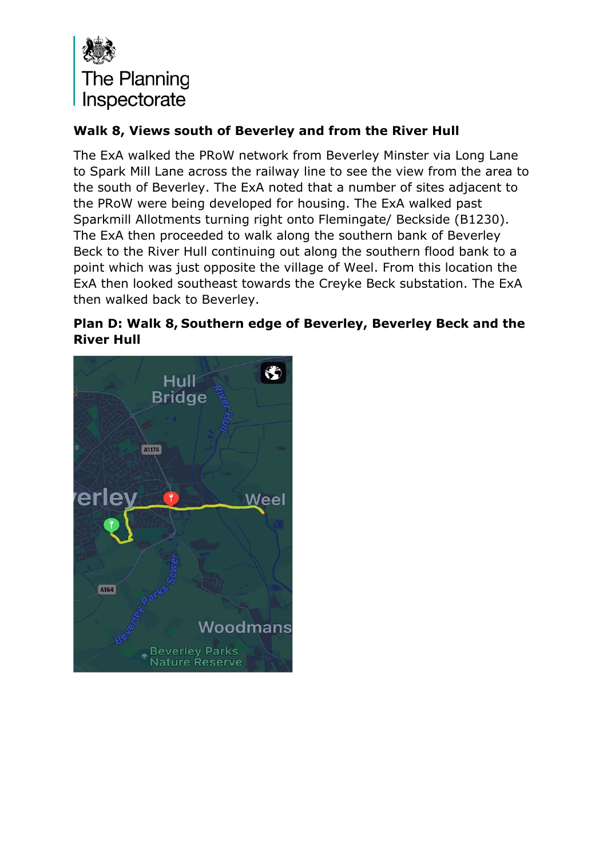

## **Walk 8, Views south of Beverley and from the River Hull**

The ExA walked the PRoW network from Beverley Minster via Long Lane to Spark Mill Lane across the railway line to see the view from the area to the south of Beverley. The ExA noted that a number of sites adjacent to the PRoW were being developed for housing. The ExA walked past Sparkmill Allotments turning right onto Flemingate/ Beckside (B1230). The ExA then proceeded to walk along the southern bank of Beverley Beck to the River Hull continuing out along the southern flood bank to a point which was just opposite the village of Weel. From this location the ExA then looked southeast towards the Creyke Beck substation. The ExA then walked back to Beverley.

#### **Plan D: Walk 8, Southern edge of Beverley, Beverley Beck and the River Hull**